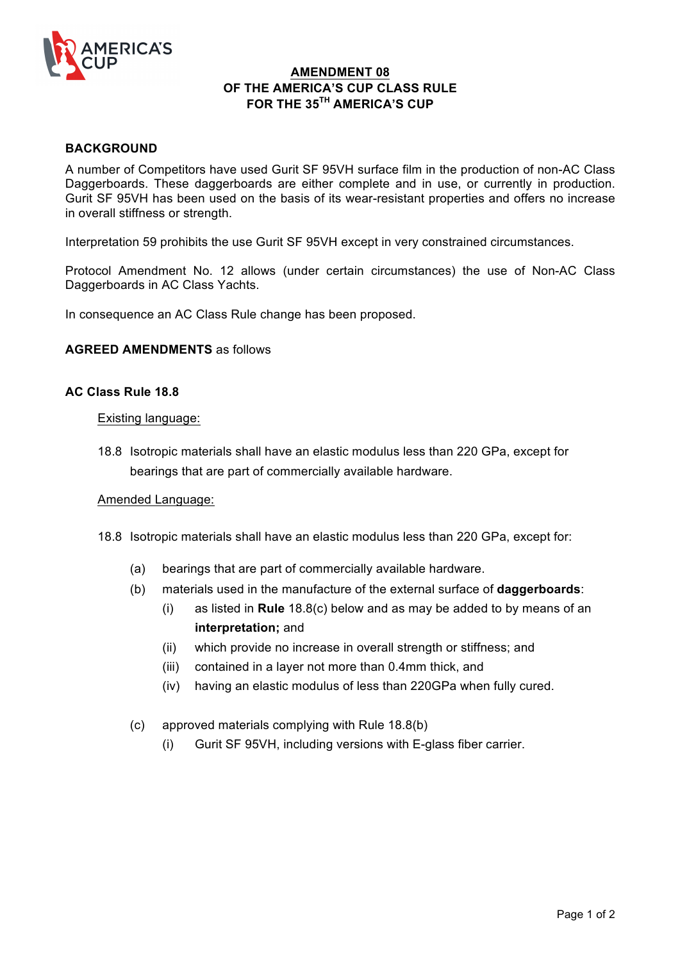

## **AMENDMENT 08 OF THE AMERICA'S CUP CLASS RULE FOR THE 35TH AMERICA'S CUP**

## **BACKGROUND**

A number of Competitors have used Gurit SF 95VH surface film in the production of non-AC Class Daggerboards. These daggerboards are either complete and in use, or currently in production. Gurit SF 95VH has been used on the basis of its wear-resistant properties and offers no increase in overall stiffness or strength.

Interpretation 59 prohibits the use Gurit SF 95VH except in very constrained circumstances.

Protocol Amendment No. 12 allows (under certain circumstances) the use of Non-AC Class Daggerboards in AC Class Yachts.

In consequence an AC Class Rule change has been proposed.

### **AGREED AMENDMENTS** as follows

### **AC Class Rule 18.8**

### Existing language:

18.8 Isotropic materials shall have an elastic modulus less than 220 GPa, except for bearings that are part of commercially available hardware.

### Amended Language:

- 18.8 Isotropic materials shall have an elastic modulus less than 220 GPa, except for:
	- (a) bearings that are part of commercially available hardware.
	- (b) materials used in the manufacture of the external surface of **daggerboards**:
		- (i) as listed in **Rule** 18.8(c) below and as may be added to by means of an **interpretation;** and
		- (ii) which provide no increase in overall strength or stiffness; and
		- (iii) contained in a layer not more than 0.4mm thick, and
		- (iv) having an elastic modulus of less than 220GPa when fully cured.
	- (c) approved materials complying with Rule 18.8(b)
		- (i) Gurit SF 95VH, including versions with E-glass fiber carrier.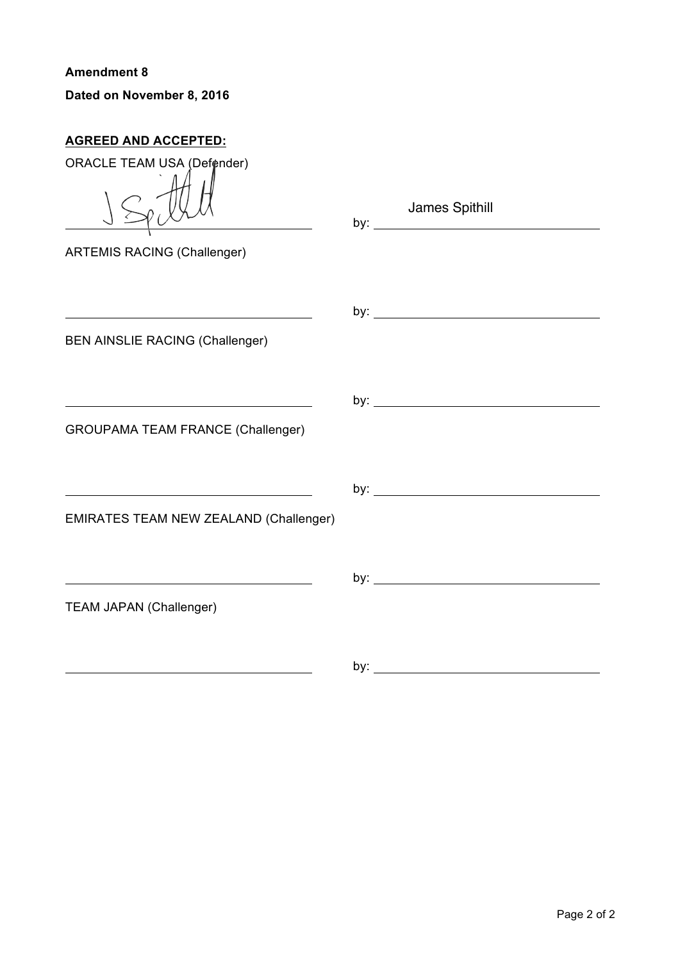**Amendment 8 Dated on November 8, 2016**

# **AGREED AND ACCEPTED:**

| ORACLE TEAM USA (Defender)                                                                                            |                                                |
|-----------------------------------------------------------------------------------------------------------------------|------------------------------------------------|
| <b>ARTEMIS RACING (Challenger)</b>                                                                                    | James Spithill<br>by: $\overline{\phantom{a}}$ |
|                                                                                                                       |                                                |
| <b>BEN AINSLIE RACING (Challenger)</b>                                                                                |                                                |
|                                                                                                                       |                                                |
|                                                                                                                       |                                                |
| <b>GROUPAMA TEAM FRANCE (Challenger)</b>                                                                              |                                                |
| <u> 1980 - Johann Barn, mars eta bainar eta bainar eta baina eta baina eta baina eta baina eta baina eta baina e</u>  |                                                |
| <b>EMIRATES TEAM NEW ZEALAND (Challenger)</b>                                                                         |                                                |
| <u> 1980 - Johann Stoff, deutscher Stoffen und der Stoffen und der Stoffen und der Stoffen und der Stoffen und de</u> |                                                |
| <b>TEAM JAPAN (Challenger)</b>                                                                                        |                                                |
|                                                                                                                       |                                                |
|                                                                                                                       |                                                |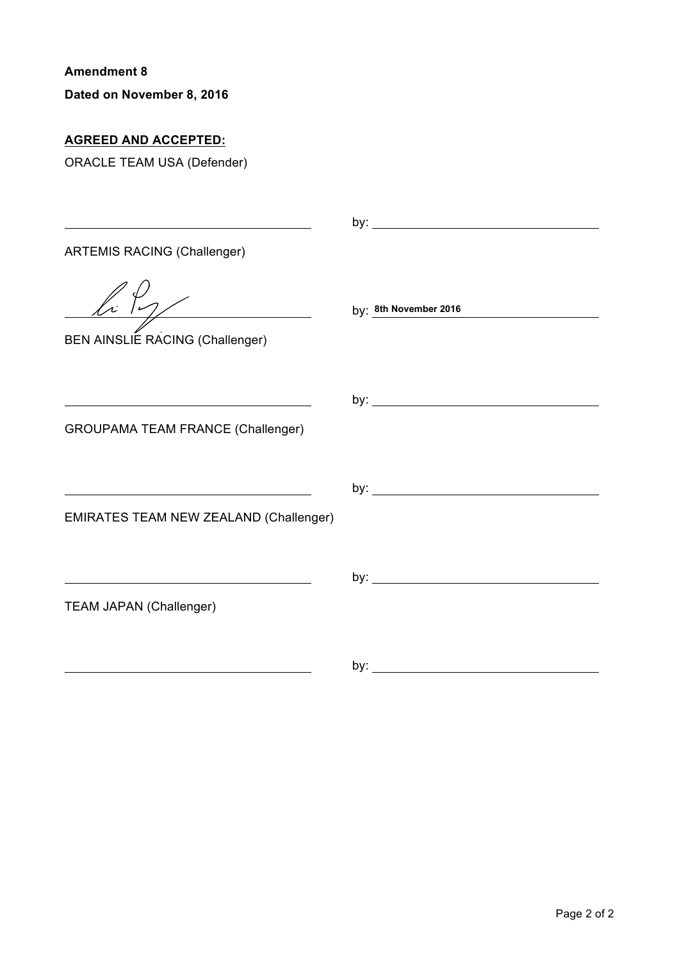**Dated on November 8, 2016**

# **AGREED AND ACCEPTED:**

ORACLE TEAM USA (Defender)

| <b>ARTEMIS RACING (Challenger)</b>                                                                                                                             |                              |
|----------------------------------------------------------------------------------------------------------------------------------------------------------------|------------------------------|
| ln 19/<br><b>BEN AINSLIE RACING (Challenger)</b>                                                                                                               | by: 8th November 2016        |
| <u> 1989 - Johann Barn, fransk politik (f. 1989)</u><br><b>GROUPAMA TEAM FRANCE (Challenger)</b>                                                               |                              |
| <u> 1980 - Johann Barn, mars eta bainar eta bainar eta baina eta baina eta baina eta baina eta baina eta baina e</u><br>EMIRATES TEAM NEW ZEALAND (Challenger) |                              |
| <b>TEAM JAPAN (Challenger)</b>                                                                                                                                 |                              |
|                                                                                                                                                                | by: $\overline{\phantom{a}}$ |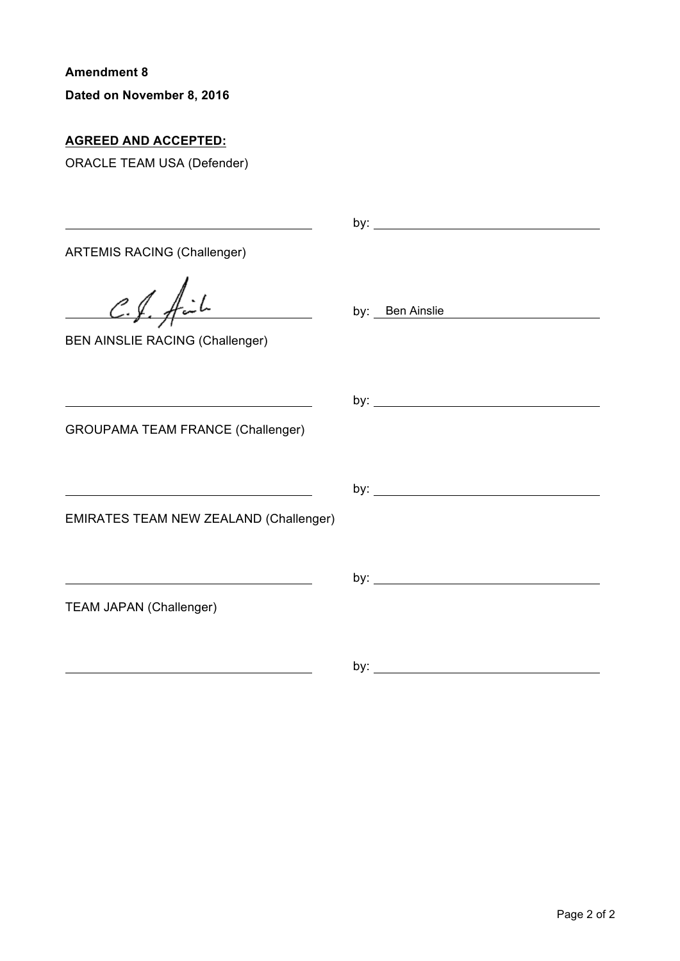**Dated on November 8, 2016**

## **AGREED AND ACCEPTED:**

ORACLE TEAM USA (Defender)

| <u> 1989 - Johann Stoff, deutscher Stoffen und der Stoffen und der Stoffen und der Stoffen und der Stoffen und der</u>                                           |                 |
|------------------------------------------------------------------------------------------------------------------------------------------------------------------|-----------------|
| <b>ARTEMIS RACING (Challenger)</b>                                                                                                                               |                 |
| $C.f.$ fil<br>$\overline{\phantom{a}}$<br><b>BEN AINSLIE RACING (Challenger)</b>                                                                                 | by: Ben Ainslie |
| <u> 1989 - Johann Barn, mars ann an t-Amhain Aonaich an t-Aonaich an t-Aonaich ann an t-Aonaich ann an t-Aonaich</u><br><b>GROUPAMA TEAM FRANCE (Challenger)</b> |                 |
| <b>EMIRATES TEAM NEW ZEALAND (Challenger)</b>                                                                                                                    |                 |
| <b>TEAM JAPAN (Challenger)</b>                                                                                                                                   |                 |
|                                                                                                                                                                  |                 |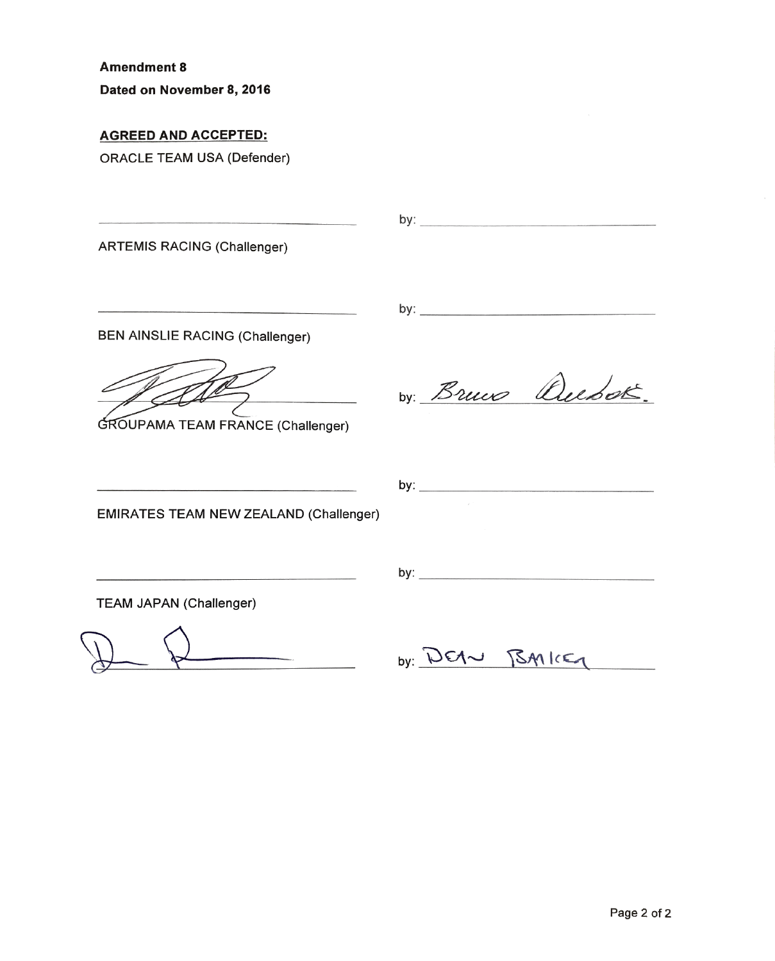Dated on November 8, 2016

### **AGREED AND ACCEPTED:**

**ORACLE TEAM USA (Defender)** 

**ARTEMIS RACING (Challenger)** 

**BEN AINSLIE RACING (Challenger)** 

GROUPAMA TEAM FRANCE (Challenger)

by: Bruce Quebox.

**EMIRATES TEAM NEW ZEALAND (Challenger)** 

| $\mathbf{u}$ |  |
|--------------|--|
| -            |  |

**TEAM JAPAN (Challenger)** 

by: DEAN BAILEY